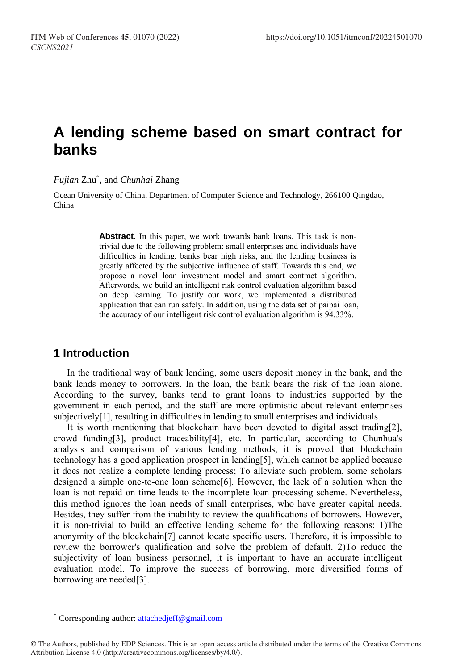# **A lending scheme based on smart contract for banks**

*Fujian* Zhu\* , and *Chunhai* Zhang

Ocean University of China, Department of Computer Science and Technology, 266100 Qingdao, China

> Abstract. In this paper, we work towards bank loans. This task is nontrivial due to the following problem: small enterprises and individuals have difficulties in lending, banks bear high risks, and the lending business is greatly affected by the subjective influence of staff. Towards this end, we propose a novel loan investment model and smart contract algorithm. Afterwords, we build an intelligent risk control evaluation algorithm based on deep learning. To justify our work, we implemented a distributed application that can run safely. In addition, using the data set of paipai loan, the accuracy of our intelligent risk control evaluation algorithm is 94.33%.

### **1 Introduction**

In the traditional way of bank lending, some users deposit money in the bank, and the bank lends money to borrowers. In the loan, the bank bears the risk of the loan alone. According to the survey, banks tend to grant loans to industries supported by the government in each period, and the staff are more optimistic about relevant enterprises subjectively<sup>[1]</sup>, resulting in difficulties in lending to small enterprises and individuals.

It is worth mentioning that blockchain have been devoted to digital asset trading[2], crowd funding[3], product traceability[4], etc. In particular, according to Chunhua's analysis and comparison of various lending methods, it is proved that blockchain technology has a good application prospect in lending[5], which cannot be applied because it does not realize a complete lending process; To alleviate such problem, some scholars designed a simple one-to-one loan scheme[6]. However, the lack of a solution when the loan is not repaid on time leads to the incomplete loan processing scheme. Nevertheless, this method ignores the loan needs of small enterprises, who have greater capital needs. Besides, they suffer from the inability to review the qualifications of borrowers. However, it is non-trivial to build an effective lending scheme for the following reasons: 1)The anonymity of the blockchain[7] cannot locate specific users. Therefore, it is impossible to review the borrower's qualification and solve the problem of default. 2)To reduce the subjectivity of loan business personnel, it is important to have an accurate intelligent evaluation model. To improve the success of borrowing, more diversified forms of borrowing are needed[3].

 $\overline{a}$ 

Corresponding author: [attachedjeff@gmail.com](mailto:author@email.org)

<sup>©</sup> The Authors, published by EDP Sciences. This is an open access article distributed under the terms of the Creative Commons Attribution License 4.0 (http://creativecommons.org/licenses/by/4.0/).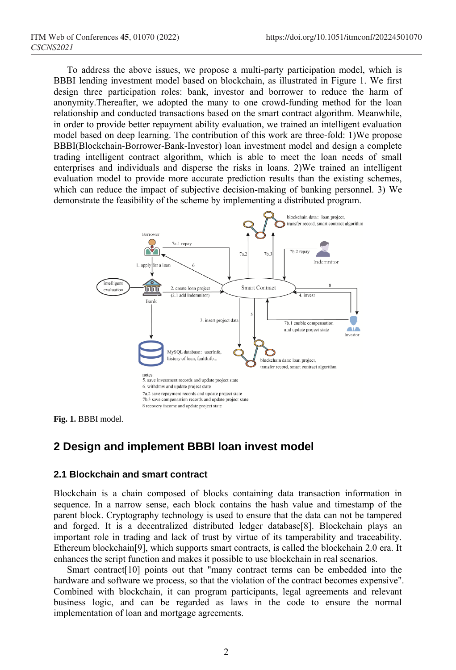To address the above issues, we propose a multi-party participation model, which is BBBI lending investment model based on blockchain, as illustrated in Figure 1. We first design three participation roles: bank, investor and borrower to reduce the harm of anonymity.Thereafter, we adopted the many to one crowd-funding method for the loan relationship and conducted transactions based on the smart contract algorithm. Meanwhile, in order to provide better repayment ability evaluation, we trained an intelligent evaluation model based on deep learning. The contribution of this work are three-fold: 1)We propose BBBI(Blockchain-Borrower-Bank-Investor) loan investment model and design a complete trading intelligent contract algorithm, which is able to meet the loan needs of small enterprises and individuals and disperse the risks in loans. 2)We trained an intelligent evaluation model to provide more accurate prediction results than the existing schemes, which can reduce the impact of subjective decision-making of banking personnel. 3) We demonstrate the feasibility of the scheme by implementing a distributed program.



**Fig. 1.** BBBI model.

# **2 Design and implement BBBI loan invest model**

#### **2.1 Blockchain and smart contract**

Blockchain is a chain composed of blocks containing data transaction information in sequence. In a narrow sense, each block contains the hash value and timestamp of the parent block. Cryptography technology is used to ensure that the data can not be tampered and forged. It is a decentralized distributed ledger database[8]. Blockchain plays an important role in trading and lack of trust by virtue of its tamperability and traceability. Ethereum blockchain[9], which supports smart contracts, is called the blockchain 2.0 era. It enhances the script function and makes it possible to use blockchain in real scenarios.

Smart contract[10] points out that "many contract terms can be embedded into the hardware and software we process, so that the violation of the contract becomes expensive". Combined with blockchain, it can program participants, legal agreements and relevant business logic, and can be regarded as laws in the code to ensure the normal implementation of loan and mortgage agreements.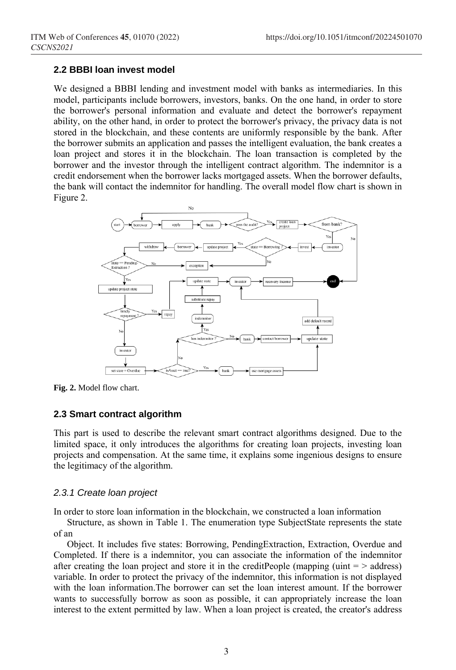#### **2.2 BBBI loan invest model**

We designed a BBBI lending and investment model with banks as intermediaries. In this model, participants include borrowers, investors, banks. On the one hand, in order to store the borrower's personal information and evaluate and detect the borrower's repayment ability, on the other hand, in order to protect the borrower's privacy, the privacy data is not stored in the blockchain, and these contents are uniformly responsible by the bank. After the borrower submits an application and passes the intelligent evaluation, the bank creates a loan project and stores it in the blockchain. The loan transaction is completed by the borrower and the investor through the intelligent contract algorithm. The indemnitor is a credit endorsement when the borrower lacks mortgaged assets. When the borrower defaults, the bank will contact the indemnitor for handling. The overall model flow chart is shown in Figure 2.



**Fig. 2.** Model flow chart.

#### **2.3 Smart contract algorithm**

This part is used to describe the relevant smart contract algorithms designed. Due to the limited space, it only introduces the algorithms for creating loan projects, investing loan projects and compensation. At the same time, it explains some ingenious designs to ensure the legitimacy of the algorithm.

#### *2.3.1 Create loan project*

In order to store loan information in the blockchain, we constructed a loan information

Structure, as shown in Table 1. The enumeration type SubjectState represents the state of an

Object. It includes five states: Borrowing, PendingExtraction, Extraction, Overdue and Completed. If there is a indemnitor, you can associate the information of the indemnitor after creating the loan project and store it in the creditPeople (mapping (uint  $=$  > address) variable. In order to protect the privacy of the indemnitor, this information is not displayed with the loan information.The borrower can set the loan interest amount. If the borrower wants to successfully borrow as soon as possible, it can appropriately increase the loan interest to the extent permitted by law. When a loan project is created, the creator's address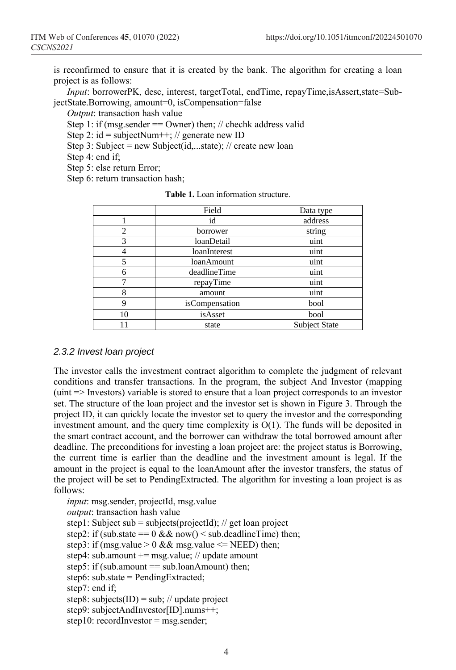is reconfirmed to ensure that it is created by the bank. The algorithm for creating a loan project is as follows:

*Input*: borrowerPK, desc, interest, targetTotal, endTime, repayTime,isAssert,state=SubjectState.Borrowing, amount=0, isCompensation=false

*Output*: transaction hash value

Step 1: if (msg.sender  $=$  Owner) then; // chechk address valid

Step 2:  $id = subjectNum++$ ; // generate new ID

Step 3: Subject = new Subject(id,...state); // create new loan

Step 4: end if;

Step 5: else return Error;

Step 6: return transaction hash;

|    | Field          | Data type            |  |
|----|----------------|----------------------|--|
|    | id             | address              |  |
| 2  | borrower       | string               |  |
| 3  | loanDetail     | uint                 |  |
|    | loanInterest   | uint                 |  |
| 5  | loanAmount     | uint                 |  |
| 6  | deadlineTime   | uint                 |  |
| 7  | repayTime      | uint                 |  |
| 8  | amount         | uint                 |  |
| 9  | isCompensation | bool                 |  |
| 10 | isAsset        | bool                 |  |
|    | state          | <b>Subject State</b> |  |

**Table 1.** Loan information structure.

#### *2.3.2 Invest loan project*

The investor calls the investment contract algorithm to complete the judgment of relevant conditions and transfer transactions. In the program, the subject And Investor (mapping (uint => Investors) variable is stored to ensure that a loan project corresponds to an investor set. The structure of the loan project and the investor set is shown in Figure 3. Through the project ID, it can quickly locate the investor set to query the investor and the corresponding investment amount, and the query time complexity is  $O(1)$ . The funds will be deposited in the smart contract account, and the borrower can withdraw the total borrowed amount after deadline. The preconditions for investing a loan project are: the project status is Borrowing, the current time is earlier than the deadline and the investment amount is legal. If the amount in the project is equal to the loanAmount after the investor transfers, the status of the project will be set to PendingExtracted. The algorithm for investing a loan project is as follows:

*input*: msg.sender, projectId, msg.value *output*: transaction hash value step1: Subject sub = subjects(projectId); // get loan project step2: if (sub.state ==  $0 \& \& \text{now}() \leq sub-deadlineTime$ ) then; step3: if (msg.value  $> 0$  && msg.value  $\leq$  NEED) then; step4: sub.amount  $+=$  msg.value; // update amount step5: if (sub.amount  $==$  sub.loanAmount) then: step6: sub.state = PendingExtracted; step7: end if; step8: subjects(ID) = sub; // update project step9: subjectAndInvestor[ID].nums++; step10: recordInvestor = msg.sender;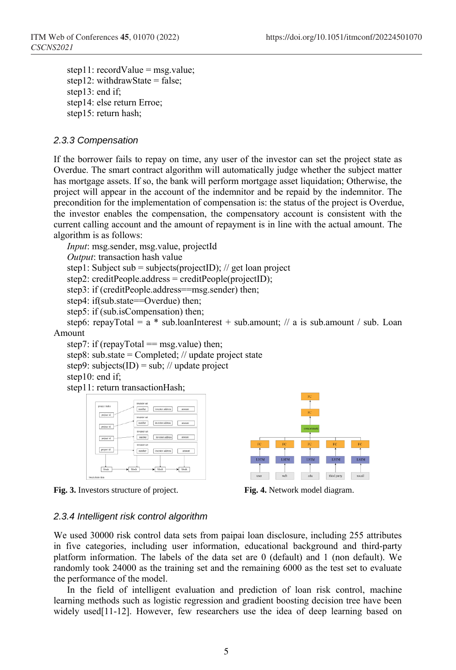step11: recordValue = msg.value; step12: withdrawState = false; step13: end if; step14: else return Erroe; step15: return hash;

#### *2.3.3 Compensation*

If the borrower fails to repay on time, any user of the investor can set the project state as Overdue. The smart contract algorithm will automatically judge whether the subject matter has mortgage assets. If so, the bank will perform mortgage asset liquidation; Otherwise, the project will appear in the account of the indemnitor and be repaid by the indemnitor. The precondition for the implementation of compensation is: the status of the project is Overdue, the investor enables the compensation, the compensatory account is consistent with the current calling account and the amount of repayment is in line with the actual amount. The algorithm is as follows:

*Input*: msg.sender, msg.value, projectId *Output*: transaction hash value step1: Subject sub = subjects(projectID);  $\frac{1}{2}$  get loan project step2: creditPeople.address = creditPeople(projectID); step3: if (creditPeople.address==msg.sender) then;

step4: if(sub.state==Overdue) then;

step5: if (sub.isCompensation) then;

step6: repayTotal =  $a * sub. loanInterest + sub. amount: // a is sub. amount / sub. Loan.$ Amount

step7: if (repayTotal  $==$  msg.value) then;

step8: sub.state =  $Completed$ ; // update project state

step9: subjects(ID) = sub; // update project

step10: end if;

step11: return transactionHash;



**Fig. 3.** Investors structure of project. **Fig. 4.** Network model diagram.



#### *2.3.4 Intelligent risk control algorithm*

We used 30000 risk control data sets from paipai loan disclosure, including 255 attributes in five categories, including user information, educational background and third-party platform information. The labels of the data set are 0 (default) and 1 (non default). We randomly took 24000 as the training set and the remaining 6000 as the test set to evaluate the performance of the model.

In the field of intelligent evaluation and prediction of loan risk control, machine learning methods such as logistic regression and gradient boosting decision tree have been widely used[11-12]. However, few researchers use the idea of deep learning based on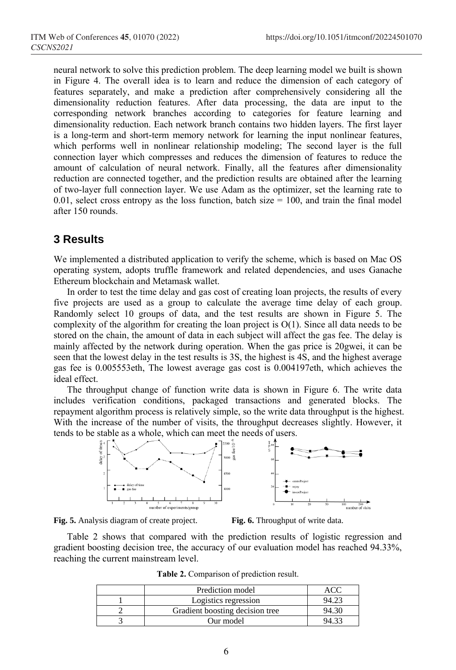neural network to solve this prediction problem. The deep learning model we built is shown in Figure 4. The overall idea is to learn and reduce the dimension of each category of features separately, and make a prediction after comprehensively considering all the dimensionality reduction features. After data processing, the data are input to the corresponding network branches according to categories for feature learning and dimensionality reduction. Each network branch contains two hidden layers. The first layer is a long-term and short-term memory network for learning the input nonlinear features, which performs well in nonlinear relationship modeling; The second layer is the full connection layer which compresses and reduces the dimension of features to reduce the amount of calculation of neural network. Finally, all the features after dimensionality reduction are connected together, and the prediction results are obtained after the learning of two-layer full connection layer. We use Adam as the optimizer, set the learning rate to 0.01, select cross entropy as the loss function, batch size  $= 100$ , and train the final model after 150 rounds.

### **3 Results**

We implemented a distributed application to verify the scheme, which is based on Mac OS operating system, adopts truffle framework and related dependencies, and uses Ganache Ethereum blockchain and Metamask wallet.

In order to test the time delay and gas cost of creating loan projects, the results of every five projects are used as a group to calculate the average time delay of each group. Randomly select 10 groups of data, and the test results are shown in Figure 5. The complexity of the algorithm for creating the loan project is  $O(1)$ . Since all data needs to be stored on the chain, the amount of data in each subject will affect the gas fee. The delay is mainly affected by the network during operation. When the gas price is 20gwei, it can be seen that the lowest delay in the test results is 3S, the highest is 4S, and the highest average gas fee is 0.005553eth, The lowest average gas cost is 0.004197eth, which achieves the ideal effect.

The throughput change of function write data is shown in Figure 6. The write data includes verification conditions, packaged transactions and generated blocks. The repayment algorithm process is relatively simple, so the write data throughput is the highest. With the increase of the number of visits, the throughput decreases slightly. However, it tends to be stable as a whole, which can meet the needs of users.





Table 2 shows that compared with the prediction results of logistic regression and gradient boosting decision tree, the accuracy of our evaluation model has reached 94.33%, reaching the current mainstream level.

| Prediction model                |  |
|---------------------------------|--|
| Logistics regression            |  |
| Gradient boosting decision tree |  |
| Our model                       |  |

**Table 2.** Comparison of prediction result.